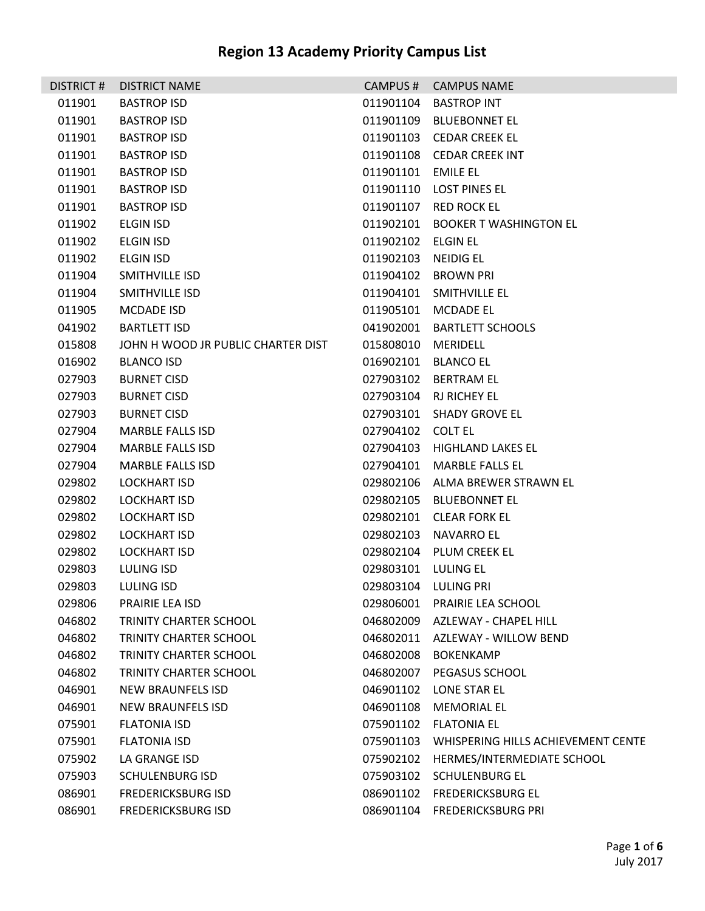| DISTRICT# | <b>DISTRICT NAME</b>               |                     | CAMPUS # CAMPUS NAME                         |
|-----------|------------------------------------|---------------------|----------------------------------------------|
| 011901    | <b>BASTROP ISD</b>                 |                     | 011901104 BASTROP INT                        |
| 011901    | <b>BASTROP ISD</b>                 |                     | 011901109 BLUEBONNET EL                      |
| 011901    | <b>BASTROP ISD</b>                 |                     | 011901103 CEDAR CREEK EL                     |
| 011901    | <b>BASTROP ISD</b>                 |                     | 011901108 CEDAR CREEK INT                    |
| 011901    | <b>BASTROP ISD</b>                 | 011901101 EMILE EL  |                                              |
| 011901    | <b>BASTROP ISD</b>                 |                     | 011901110 LOST PINES EL                      |
| 011901    | <b>BASTROP ISD</b>                 |                     | 011901107 RED ROCK EL                        |
| 011902    | <b>ELGIN ISD</b>                   |                     | 011902101 BOOKER T WASHINGTON EL             |
| 011902    | <b>ELGIN ISD</b>                   | 011902102 ELGIN EL  |                                              |
| 011902    | ELGIN ISD                          | 011902103 NEIDIG EL |                                              |
| 011904    | SMITHVILLE ISD                     |                     | 011904102 BROWN PRI                          |
| 011904    | SMITHVILLE ISD                     |                     | 011904101 SMITHVILLE EL                      |
| 011905    | MCDADE ISD                         |                     | 011905101 MCDADE EL                          |
| 041902    | <b>BARTLETT ISD</b>                |                     | 041902001 BARTLETT SCHOOLS                   |
| 015808    | JOHN H WOOD JR PUBLIC CHARTER DIST | 015808010 MERIDELL  |                                              |
| 016902    | <b>BLANCO ISD</b>                  |                     | 016902101 BLANCO EL                          |
| 027903    | <b>BURNET CISD</b>                 |                     | 027903102 BERTRAM EL                         |
| 027903    | <b>BURNET CISD</b>                 |                     | 027903104 RJ RICHEY EL                       |
| 027903    | <b>BURNET CISD</b>                 |                     | 027903101 SHADY GROVE EL                     |
| 027904    | <b>MARBLE FALLS ISD</b>            | 027904102 COLT EL   |                                              |
| 027904    | <b>MARBLE FALLS ISD</b>            |                     | 027904103 HIGHLAND LAKES EL                  |
| 027904    | <b>MARBLE FALLS ISD</b>            |                     | 027904101 MARBLE FALLS EL                    |
| 029802    | LOCKHART ISD                       |                     | 029802106 ALMA BREWER STRAWN EL              |
| 029802    | LOCKHART ISD                       |                     | 029802105 BLUEBONNET EL                      |
| 029802    | <b>LOCKHART ISD</b>                |                     | 029802101 CLEAR FORK EL                      |
| 029802    | <b>LOCKHART ISD</b>                |                     | 029802103 NAVARRO EL                         |
| 029802    | <b>LOCKHART ISD</b>                |                     | 029802104 PLUM CREEK EL                      |
| 029803    | <b>LULING ISD</b>                  | 029803101 LULING EL |                                              |
| 029803    | LULING ISD                         |                     | 029803104 LULING PRI                         |
| 029806    | PRAIRIE LEA ISD                    |                     | 029806001 PRAIRIE LEA SCHOOL                 |
| 046802    | <b>TRINITY CHARTER SCHOOL</b>      |                     | 046802009 AZLEWAY - CHAPEL HILL              |
| 046802    | <b>TRINITY CHARTER SCHOOL</b>      |                     | 046802011 AZLEWAY - WILLOW BEND              |
| 046802    | <b>TRINITY CHARTER SCHOOL</b>      | 046802008           | <b>BOKENKAMP</b>                             |
| 046802    | <b>TRINITY CHARTER SCHOOL</b>      |                     | 046802007 PEGASUS SCHOOL                     |
| 046901    | NEW BRAUNFELS ISD                  |                     | 046901102 LONE STAR EL                       |
| 046901    | NEW BRAUNFELS ISD                  | 046901108           | <b>MEMORIAL EL</b>                           |
| 075901    | <b>FLATONIA ISD</b>                |                     | 075901102 FLATONIA EL                        |
| 075901    | <b>FLATONIA ISD</b>                |                     | 075901103 WHISPERING HILLS ACHIEVEMENT CENTE |
| 075902    | LA GRANGE ISD                      | 075902102           | HERMES/INTERMEDIATE SCHOOL                   |
| 075903    | <b>SCHULENBURG ISD</b>             | 075903102           | <b>SCHULENBURG EL</b>                        |
| 086901    | <b>FREDERICKSBURG ISD</b>          |                     | 086901102 FREDERICKSBURG EL                  |
| 086901    | <b>FREDERICKSBURG ISD</b>          |                     | 086901104 FREDERICKSBURG PRI                 |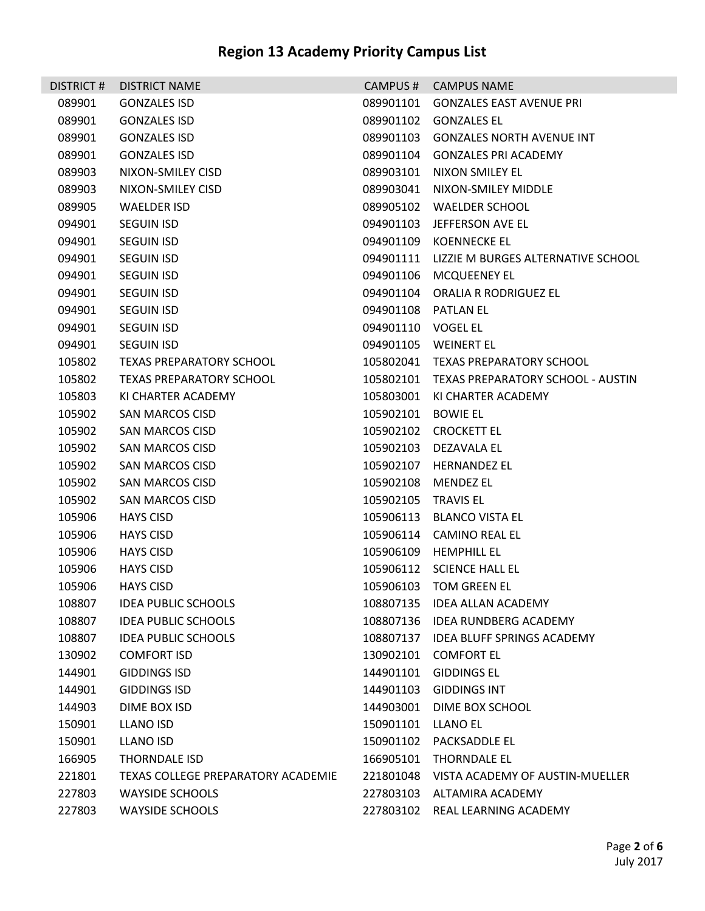| DISTRICT# | <b>DISTRICT NAME</b>               |                     | CAMPUS # CAMPUS NAME                         |
|-----------|------------------------------------|---------------------|----------------------------------------------|
| 089901    | <b>GONZALES ISD</b>                | 089901101           | <b>GONZALES EAST AVENUE PRI</b>              |
| 089901    | <b>GONZALES ISD</b>                | 089901102           | <b>GONZALES EL</b>                           |
| 089901    | <b>GONZALES ISD</b>                |                     | 089901103 GONZALES NORTH AVENUE INT          |
| 089901    | <b>GONZALES ISD</b>                |                     | 089901104 GONZALES PRI ACADEMY               |
| 089903    | NIXON-SMILEY CISD                  |                     | 089903101 NIXON SMILEY EL                    |
| 089903    | NIXON-SMILEY CISD                  | 089903041           | NIXON-SMILEY MIDDLE                          |
| 089905    | <b>WAELDER ISD</b>                 |                     | 089905102 WAELDER SCHOOL                     |
| 094901    | <b>SEGUIN ISD</b>                  |                     | 094901103 JEFFERSON AVE EL                   |
| 094901    | <b>SEGUIN ISD</b>                  |                     | 094901109 KOENNECKE EL                       |
| 094901    | <b>SEGUIN ISD</b>                  |                     | 094901111 LIZZIE M BURGES ALTERNATIVE SCHOOL |
| 094901    | <b>SEGUIN ISD</b>                  |                     | 094901106 MCQUEENEY EL                       |
| 094901    | <b>SEGUIN ISD</b>                  |                     | 094901104 ORALIA R RODRIGUEZ EL              |
| 094901    | <b>SEGUIN ISD</b>                  | 094901108 PATLAN EL |                                              |
| 094901    | <b>SEGUIN ISD</b>                  | 094901110 VOGEL EL  |                                              |
| 094901    | <b>SEGUIN ISD</b>                  |                     | 094901105 WEINERT EL                         |
| 105802    | <b>TEXAS PREPARATORY SCHOOL</b>    |                     | 105802041 TEXAS PREPARATORY SCHOOL           |
| 105802    | TEXAS PREPARATORY SCHOOL           |                     | 105802101 TEXAS PREPARATORY SCHOOL - AUSTIN  |
| 105803    | KI CHARTER ACADEMY                 |                     | 105803001 KI CHARTER ACADEMY                 |
| 105902    | SAN MARCOS CISD                    | 105902101 BOWIE EL  |                                              |
| 105902    | SAN MARCOS CISD                    |                     | 105902102 CROCKETT EL                        |
| 105902    | <b>SAN MARCOS CISD</b>             | 105902103           | DEZAVALA EL                                  |
| 105902    | <b>SAN MARCOS CISD</b>             | 105902107           | <b>HERNANDEZ EL</b>                          |
| 105902    | SAN MARCOS CISD                    |                     | 105902108 MENDEZ EL                          |
| 105902    | SAN MARCOS CISD                    | 105902105 TRAVIS EL |                                              |
| 105906    | <b>HAYS CISD</b>                   |                     | 105906113 BLANCO VISTA EL                    |
| 105906    | <b>HAYS CISD</b>                   |                     | 105906114 CAMINO REAL EL                     |
| 105906    | <b>HAYS CISD</b>                   |                     | 105906109 HEMPHILL EL                        |
| 105906    | <b>HAYS CISD</b>                   |                     | 105906112 SCIENCE HALL EL                    |
| 105906    | <b>HAYS CISD</b>                   |                     | 105906103 TOM GREEN EL                       |
| 108807    | <b>IDEA PUBLIC SCHOOLS</b>         |                     | 108807135 IDEA ALLAN ACADEMY                 |
| 108807    | <b>IDEA PUBLIC SCHOOLS</b>         |                     | 108807136 IDEA RUNDBERG ACADEMY              |
| 108807    | <b>IDEA PUBLIC SCHOOLS</b>         | 108807137           | <b>IDEA BLUFF SPRINGS ACADEMY</b>            |
| 130902    | <b>COMFORT ISD</b>                 | 130902101           | <b>COMFORT EL</b>                            |
| 144901    | <b>GIDDINGS ISD</b>                | 144901101           | <b>GIDDINGS EL</b>                           |
| 144901    | <b>GIDDINGS ISD</b>                | 144901103           | <b>GIDDINGS INT</b>                          |
| 144903    | DIME BOX ISD                       | 144903001           | DIME BOX SCHOOL                              |
| 150901    | LLANO ISD                          | 150901101           | LLANO EL                                     |
| 150901    | <b>LLANO ISD</b>                   |                     | 150901102 PACKSADDLE EL                      |
| 166905    | <b>THORNDALE ISD</b>               | 166905101           | <b>THORNDALE EL</b>                          |
| 221801    | TEXAS COLLEGE PREPARATORY ACADEMIE | 221801048           | VISTA ACADEMY OF AUSTIN-MUELLER              |
| 227803    | <b>WAYSIDE SCHOOLS</b>             |                     | 227803103 ALTAMIRA ACADEMY                   |
| 227803    | <b>WAYSIDE SCHOOLS</b>             |                     | 227803102 REAL LEARNING ACADEMY              |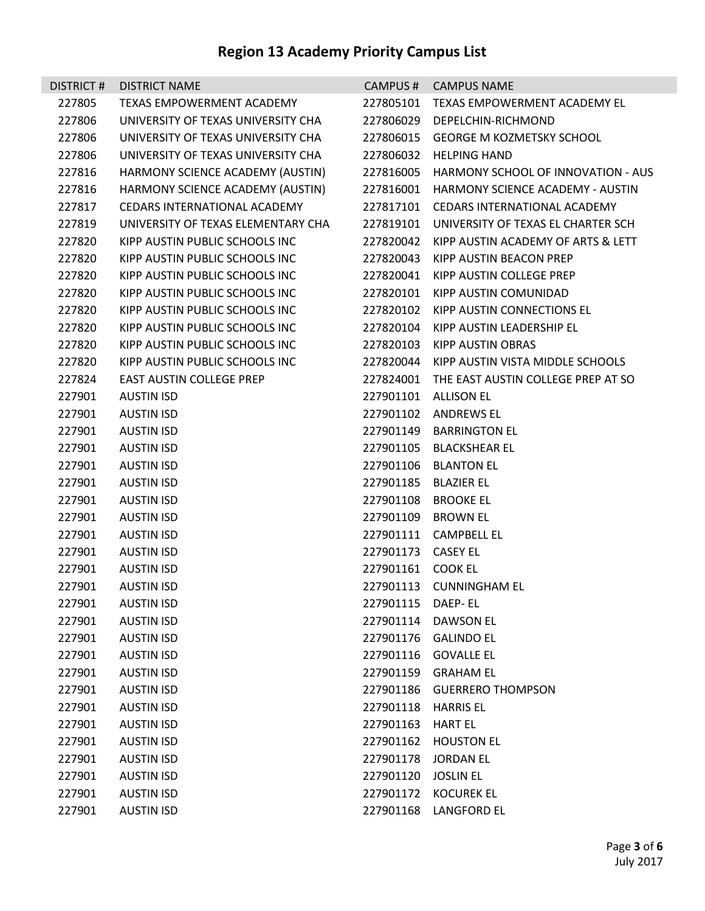| DISTRICT# | <b>DISTRICT NAME</b>               |                     | CAMPUS # CAMPUS NAME                         |
|-----------|------------------------------------|---------------------|----------------------------------------------|
| 227805    | TEXAS EMPOWERMENT ACADEMY          |                     | 227805101 TEXAS EMPOWERMENT ACADEMY EL       |
| 227806    | UNIVERSITY OF TEXAS UNIVERSITY CHA |                     | 227806029 DEPELCHIN-RICHMOND                 |
| 227806    | UNIVERSITY OF TEXAS UNIVERSITY CHA |                     | 227806015 GEORGE M KOZMETSKY SCHOOL          |
| 227806    | UNIVERSITY OF TEXAS UNIVERSITY CHA |                     | 227806032 HELPING HAND                       |
| 227816    | HARMONY SCIENCE ACADEMY (AUSTIN)   |                     | 227816005 HARMONY SCHOOL OF INNOVATION - AUS |
| 227816    | HARMONY SCIENCE ACADEMY (AUSTIN)   |                     | 227816001 HARMONY SCIENCE ACADEMY - AUSTIN   |
| 227817    | CEDARS INTERNATIONAL ACADEMY       |                     | 227817101 CEDARS INTERNATIONAL ACADEMY       |
| 227819    | UNIVERSITY OF TEXAS ELEMENTARY CHA |                     | 227819101 UNIVERSITY OF TEXAS EL CHARTER SCH |
| 227820    | KIPP AUSTIN PUBLIC SCHOOLS INC     |                     | 227820042 KIPP AUSTIN ACADEMY OF ARTS & LETT |
| 227820    | KIPP AUSTIN PUBLIC SCHOOLS INC     | 227820043           | KIPP AUSTIN BEACON PREP                      |
| 227820    | KIPP AUSTIN PUBLIC SCHOOLS INC     |                     | 227820041 KIPP AUSTIN COLLEGE PREP           |
| 227820    | KIPP AUSTIN PUBLIC SCHOOLS INC     |                     | 227820101 KIPP AUSTIN COMUNIDAD              |
| 227820    | KIPP AUSTIN PUBLIC SCHOOLS INC     |                     | 227820102 KIPP AUSTIN CONNECTIONS EL         |
| 227820    | KIPP AUSTIN PUBLIC SCHOOLS INC     |                     | 227820104 KIPP AUSTIN LEADERSHIP EL          |
| 227820    | KIPP AUSTIN PUBLIC SCHOOLS INC     |                     | 227820103 KIPP AUSTIN OBRAS                  |
| 227820    | KIPP AUSTIN PUBLIC SCHOOLS INC     |                     | 227820044 KIPP AUSTIN VISTA MIDDLE SCHOOLS   |
| 227824    | EAST AUSTIN COLLEGE PREP           |                     | 227824001 THE EAST AUSTIN COLLEGE PREP AT SO |
| 227901    | <b>AUSTIN ISD</b>                  |                     | 227901101 ALLISON EL                         |
| 227901    | <b>AUSTIN ISD</b>                  |                     | 227901102 ANDREWS EL                         |
| 227901    | <b>AUSTIN ISD</b>                  |                     | 227901149 BARRINGTON EL                      |
| 227901    | <b>AUSTIN ISD</b>                  |                     | 227901105 BLACKSHEAR EL                      |
| 227901    | <b>AUSTIN ISD</b>                  |                     | 227901106 BLANTON EL                         |
| 227901    | <b>AUSTIN ISD</b>                  |                     | 227901185 BLAZIER EL                         |
| 227901    | <b>AUSTIN ISD</b>                  |                     | 227901108 BROOKE EL                          |
| 227901    | <b>AUSTIN ISD</b>                  | 227901109 BROWN EL  |                                              |
| 227901    | <b>AUSTIN ISD</b>                  |                     | 227901111 CAMPBELL EL                        |
| 227901    | <b>AUSTIN ISD</b>                  | 227901173 CASEY EL  |                                              |
| 227901    | <b>AUSTIN ISD</b>                  | 227901161 COOK EL   |                                              |
| 227901    | <b>AUSTIN ISD</b>                  |                     | 227901113 CUNNINGHAM EL                      |
| 227901    | <b>AUSTIN ISD</b>                  | 227901115 DAEP-EL   |                                              |
| 227901    | <b>AUSTIN ISD</b>                  |                     | 227901114 DAWSON EL                          |
| 227901    | <b>AUSTIN ISD</b>                  | 227901176           | <b>GALINDO EL</b>                            |
| 227901    | <b>AUSTIN ISD</b>                  |                     | 227901116 GOVALLE EL                         |
| 227901    | <b>AUSTIN ISD</b>                  |                     | 227901159 GRAHAM EL                          |
| 227901    | <b>AUSTIN ISD</b>                  |                     | 227901186 GUERRERO THOMPSON                  |
| 227901    | <b>AUSTIN ISD</b>                  | 227901118 HARRIS EL |                                              |
| 227901    | <b>AUSTIN ISD</b>                  | 227901163 HART EL   |                                              |
| 227901    | <b>AUSTIN ISD</b>                  |                     | 227901162 HOUSTON EL                         |
| 227901    | <b>AUSTIN ISD</b>                  |                     | 227901178 JORDAN EL                          |
| 227901    | <b>AUSTIN ISD</b>                  | 227901120           | <b>JOSLIN EL</b>                             |
| 227901    | <b>AUSTIN ISD</b>                  |                     | 227901172 KOCUREK EL                         |
| 227901    | <b>AUSTIN ISD</b>                  |                     | 227901168 LANGFORD EL                        |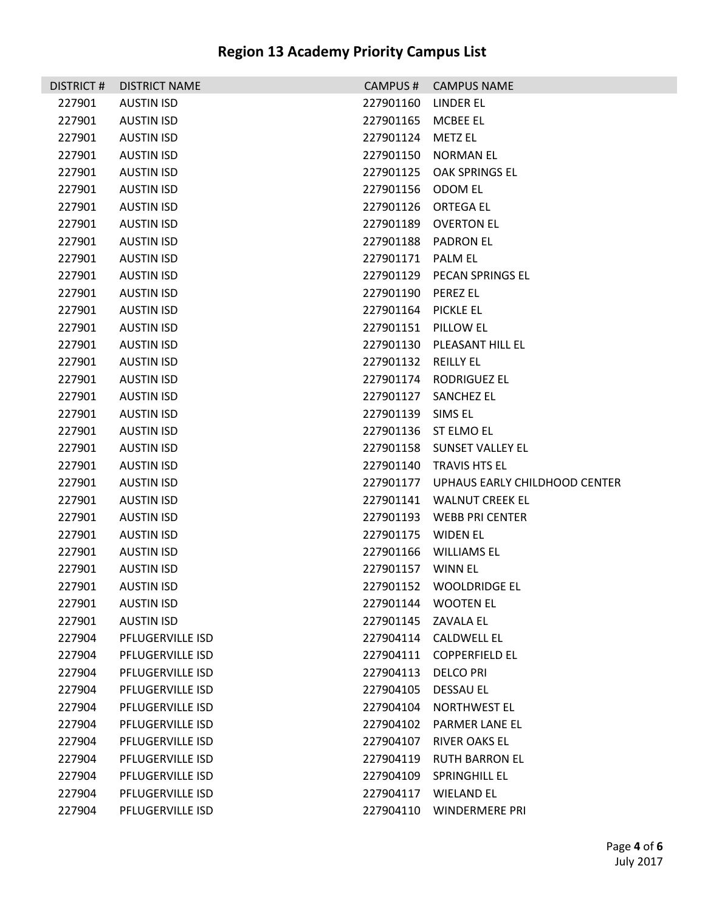| DISTRICT # | <b>DISTRICT NAME</b>    |                     | CAMPUS # CAMPUS NAME                    |
|------------|-------------------------|---------------------|-----------------------------------------|
| 227901     | <b>AUSTIN ISD</b>       | 227901160 LINDER EL |                                         |
| 227901     | <b>AUSTIN ISD</b>       | 227901165 MCBEE EL  |                                         |
| 227901     | <b>AUSTIN ISD</b>       | 227901124           | <b>METZ EL</b>                          |
| 227901     | <b>AUSTIN ISD</b>       |                     | 227901150 NORMAN EL                     |
| 227901     | <b>AUSTIN ISD</b>       | 227901125           | OAK SPRINGS EL                          |
| 227901     | <b>AUSTIN ISD</b>       | 227901156 ODOM EL   |                                         |
| 227901     | <b>AUSTIN ISD</b>       | 227901126           | <b>ORTEGA EL</b>                        |
| 227901     | <b>AUSTIN ISD</b>       | 227901189           | <b>OVERTON EL</b>                       |
| 227901     | <b>AUSTIN ISD</b>       |                     | 227901188 PADRON EL                     |
| 227901     | <b>AUSTIN ISD</b>       | 227901171 PALM EL   |                                         |
| 227901     | <b>AUSTIN ISD</b>       | 227901129           | PECAN SPRINGS EL                        |
| 227901     | <b>AUSTIN ISD</b>       | 227901190 PEREZ EL  |                                         |
| 227901     | <b>AUSTIN ISD</b>       | 227901164 PICKLE EL |                                         |
| 227901     | <b>AUSTIN ISD</b>       | 227901151 PILLOW EL |                                         |
| 227901     | <b>AUSTIN ISD</b>       |                     | 227901130 PLEASANT HILL EL              |
| 227901     | <b>AUSTIN ISD</b>       | 227901132 REILLY EL |                                         |
| 227901     | <b>AUSTIN ISD</b>       |                     | 227901174 RODRIGUEZ EL                  |
| 227901     | <b>AUSTIN ISD</b>       |                     | 227901127 SANCHEZ EL                    |
| 227901     | <b>AUSTIN ISD</b>       | 227901139           | SIMS EL                                 |
| 227901     | <b>AUSTIN ISD</b>       |                     | 227901136 ST ELMO EL                    |
| 227901     | <b>AUSTIN ISD</b>       |                     | 227901158 SUNSET VALLEY EL              |
| 227901     | <b>AUSTIN ISD</b>       |                     | 227901140 TRAVIS HTS EL                 |
| 227901     | <b>AUSTIN ISD</b>       |                     | 227901177 UPHAUS EARLY CHILDHOOD CENTER |
| 227901     | <b>AUSTIN ISD</b>       |                     | 227901141 WALNUT CREEK EL               |
| 227901     | <b>AUSTIN ISD</b>       |                     | 227901193 WEBB PRI CENTER               |
| 227901     | <b>AUSTIN ISD</b>       | 227901175 WIDEN EL  |                                         |
| 227901     | <b>AUSTIN ISD</b>       |                     | 227901166 WILLIAMS EL                   |
| 227901     | <b>AUSTIN ISD</b>       | 227901157 WINN EL   |                                         |
| 227901     | <b>AUSTIN ISD</b>       |                     | 227901152 WOOLDRIDGE EL                 |
| 227901     | <b>AUSTIN ISD</b>       | 227901144           | <b>WOOTEN EL</b>                        |
| 227901     | <b>AUSTIN ISD</b>       | 227901145 ZAVALA EL |                                         |
| 227904     | PFLUGERVILLE ISD        |                     | 227904114 CALDWELL EL                   |
| 227904     | PFLUGERVILLE ISD        | 227904111           | <b>COPPERFIELD EL</b>                   |
| 227904     | PFLUGERVILLE ISD        | 227904113           | <b>DELCO PRI</b>                        |
| 227904     | <b>PFLUGERVILLE ISD</b> | 227904105           | DESSAU EL                               |
| 227904     | PFLUGERVILLE ISD        | 227904104           | <b>NORTHWEST EL</b>                     |
| 227904     | PFLUGERVILLE ISD        | 227904102           | PARMER LANE EL                          |
| 227904     | PFLUGERVILLE ISD        | 227904107           | <b>RIVER OAKS EL</b>                    |
| 227904     | PFLUGERVILLE ISD        | 227904119           | <b>RUTH BARRON EL</b>                   |
| 227904     | PFLUGERVILLE ISD        | 227904109           | SPRINGHILL EL                           |
| 227904     | PFLUGERVILLE ISD        | 227904117           | <b>WIELAND EL</b>                       |
| 227904     | PFLUGERVILLE ISD        |                     | 227904110 WINDERMERE PRI                |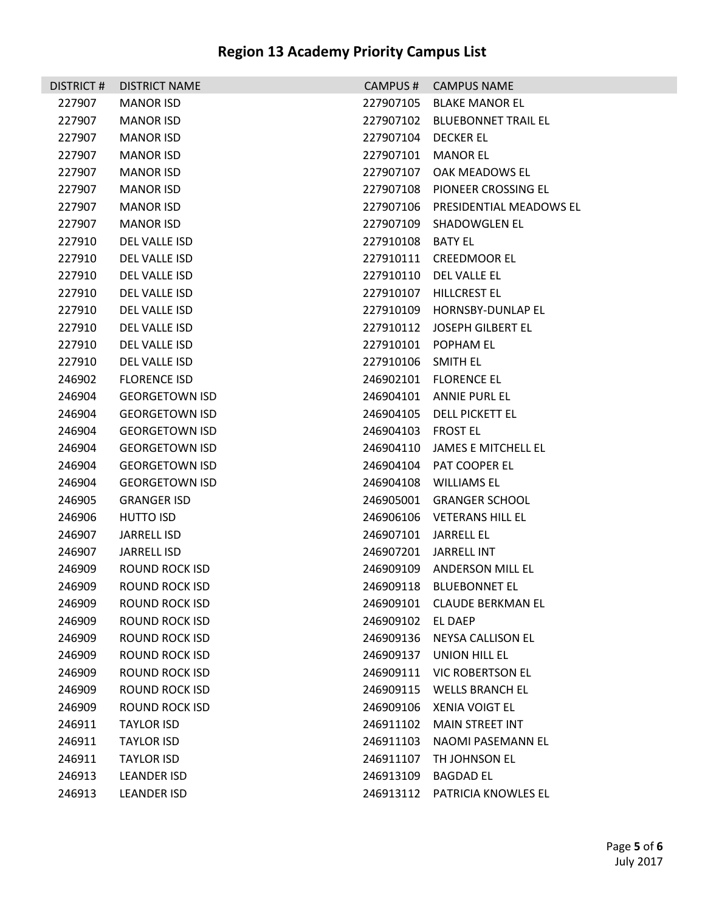| DISTRICT# | <b>DISTRICT NAME</b>  | CAMPUS#           | <b>CAMPUS NAME</b>            |
|-----------|-----------------------|-------------------|-------------------------------|
| 227907    | <b>MANOR ISD</b>      | 227907105         | BLAKE MANOR EL                |
| 227907    | <b>MANOR ISD</b>      | 227907102         | BLUEBONNET TRAIL EL           |
| 227907    | <b>MANOR ISD</b>      | 227907104         | DECKER EL                     |
| 227907    | <b>MANOR ISD</b>      | 227907101         | <b>MANOR EL</b>               |
| 227907    | <b>MANOR ISD</b>      |                   | 227907107 OAK MEADOWS EL      |
| 227907    | <b>MANOR ISD</b>      | 227907108         | PIONEER CROSSING EL           |
| 227907    | <b>MANOR ISD</b>      | 227907106         | PRESIDENTIAL MEADOWS EL       |
| 227907    | <b>MANOR ISD</b>      | 227907109         | <b>SHADOWGLEN EL</b>          |
| 227910    | DEL VALLE ISD         | 227910108 BATY EL |                               |
| 227910    | DEL VALLE ISD         |                   | 227910111 CREEDMOOR EL        |
| 227910    | DEL VALLE ISD         |                   | 227910110 DEL VALLE EL        |
| 227910    | DEL VALLE ISD         | 227910107         | HILLCREST EL                  |
| 227910    | DEL VALLE ISD         |                   | 227910109 HORNSBY-DUNLAP EL   |
| 227910    | DEL VALLE ISD         |                   | 227910112 JOSEPH GILBERT EL   |
| 227910    | DEL VALLE ISD         | 227910101         | POPHAM EL                     |
| 227910    | DEL VALLE ISD         | 227910106         | <b>SMITH EL</b>               |
| 246902    | <b>FLORENCE ISD</b>   |                   | 246902101 FLORENCE EL         |
| 246904    | <b>GEORGETOWN ISD</b> |                   | 246904101 ANNIE PURL EL       |
| 246904    | <b>GEORGETOWN ISD</b> | 246904105         | DELL PICKETT EL               |
| 246904    | <b>GEORGETOWN ISD</b> | 246904103         | FROST EL                      |
| 246904    | <b>GEORGETOWN ISD</b> | 246904110         | JAMES E MITCHELL EL           |
| 246904    | <b>GEORGETOWN ISD</b> |                   | 246904104 PAT COOPER EL       |
| 246904    | <b>GEORGETOWN ISD</b> | 246904108         | WILLIAMS EL                   |
| 246905    | <b>GRANGER ISD</b>    | 246905001         | <b>GRANGER SCHOOL</b>         |
| 246906    | <b>HUTTO ISD</b>      |                   | 246906106 VETERANS HILL EL    |
| 246907    | JARRELL ISD           | 246907101         | JARRELL EL                    |
| 246907    | JARRELL ISD           | 246907201         | JARRELL INT                   |
| 246909    | ROUND ROCK ISD        | 246909109         | ANDERSON MILL EL              |
| 246909    | ROUND ROCK ISD        | 246909118         | <b>BLUEBONNET EL</b>          |
| 246909    | <b>ROUND ROCK ISD</b> | 246909101         | <b>CLAUDE BERKMAN EL</b>      |
| 246909    | ROUND ROCK ISD        | 246909102         | <b>EL DAEP</b>                |
| 246909    | <b>ROUND ROCK ISD</b> | 246909136         | NEYSA CALLISON EL             |
| 246909    | <b>ROUND ROCK ISD</b> | 246909137         | UNION HILL EL                 |
| 246909    | <b>ROUND ROCK ISD</b> | 246909111         | <b>VIC ROBERTSON EL</b>       |
| 246909    | ROUND ROCK ISD        | 246909115         | <b>WELLS BRANCH EL</b>        |
| 246909    | <b>ROUND ROCK ISD</b> | 246909106         | <b>XENIA VOIGT EL</b>         |
| 246911    | <b>TAYLOR ISD</b>     | 246911102         | <b>MAIN STREET INT</b>        |
| 246911    | <b>TAYLOR ISD</b>     | 246911103         | NAOMI PASEMANN EL             |
| 246911    | <b>TAYLOR ISD</b>     | 246911107         | TH JOHNSON EL                 |
| 246913    | <b>LEANDER ISD</b>    | 246913109         | <b>BAGDAD EL</b>              |
| 246913    | <b>LEANDER ISD</b>    |                   | 246913112 PATRICIA KNOWLES EL |